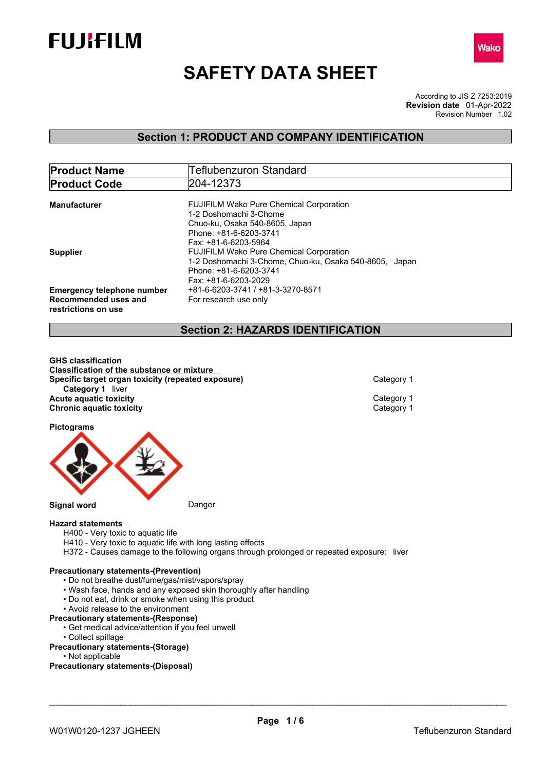



# **SAFETY DATA SHEET**

According to JIS Z 7253:2019 Revision Number 1.02 **Revision date** 01-Apr-2022

## **Section 1: PRODUCT AND COMPANY IDENTIFICATION**

| <b>Product Name</b>               | Teflubenzuron Standard                                 |
|-----------------------------------|--------------------------------------------------------|
| <b>Product Code</b>               | 204-12373                                              |
|                                   |                                                        |
| Manufacturer                      | <b>FUJIFILM Wako Pure Chemical Corporation</b>         |
|                                   | 1-2 Doshomachi 3-Chome                                 |
|                                   | Chuo-ku, Osaka 540-8605, Japan                         |
|                                   | Phone: +81-6-6203-3741                                 |
|                                   | Fax: +81-6-6203-5964                                   |
| <b>Supplier</b>                   | <b>FUJIFILM Wako Pure Chemical Corporation</b>         |
|                                   | 1-2 Doshomachi 3-Chome, Chuo-ku, Osaka 540-8605, Japan |
|                                   | Phone: +81-6-6203-3741                                 |
|                                   | Fax: +81-6-6203-2029                                   |
| <b>Emergency telephone number</b> | +81-6-6203-3741 / +81-3-3270-8571                      |
| Recommended uses and              | For research use only                                  |
| restrictions on use               |                                                        |
|                                   |                                                        |

## **Section 2: HAZARDS IDENTIFICATION**

**GHS classification Classification of the substance or mixture Specific target organ toxicity (repeated exposure)** Category 1 **Category 1** liver **Acute aquatic toxicity**<br> **Category 1**<br> **Chronic aquatic toxicity**<br>
Category 1 **Chronic aquatic toxicity** 

**Pictograms**



**Signal word** Danger

## **Hazard statements**

- H400 Very toxic to aquatic life
- H410 Very toxic to aquatic life with long lasting effects
- H372 Causes damage to the following organs through prolonged or repeated exposure: liver

## **Precautionary statements-(Prevention)**

- Do not breathe dust/fume/gas/mist/vapors/spray
- Wash face, hands and any exposed skin thoroughly after handling
- Do not eat, drink or smoke when using this product
- Avoid release to the environment

## **Precautionary statements-(Response)**

- Get medical advice/attention if you feel unwell
- Collect spillage
- **Precautionary statements-(Storage)**
- Not applicable

**Precautionary statements-(Disposal)**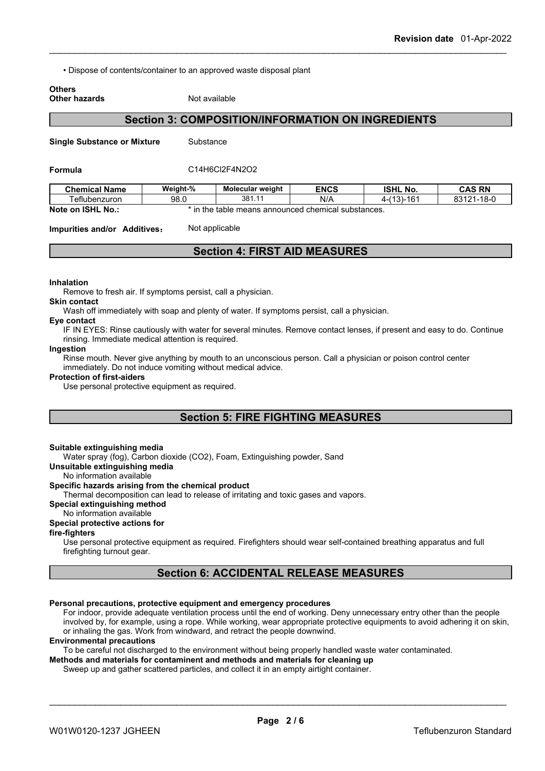• Dispose of contents/container to an approved waste disposal plant

## **Others**

## **Other hazards** Not available

## **Section 3: COMPOSITION/INFORMATION ON INGREDIENTS**

**Single Substance or Mixture** Substance

#### **Formula** C14H6Cl2F4N2O2

| <b>Chemical Name</b>   | Weight-%                                                                   | Molecular weight | <b>ENCS</b> | <b>ISHL No.</b>           | <b>CAS RN</b>         |
|------------------------|----------------------------------------------------------------------------|------------------|-------------|---------------------------|-----------------------|
| 「eflubenzuron          | 98.0                                                                       | 381              | N/A         | (40)<br>AC<br>151-10<br>. | $1 - 18 - C$<br>02424 |
| Note on ISHL<br>. No.: | e means announced chemical substances.<br>$\overline{1}$<br>the ו<br>table |                  |             |                           |                       |

**Impurities and/or Additives:** Not applicable

## **Section 4: FIRST AID MEASURES**

#### **Inhalation**

Remove to fresh air. If symptoms persist, call a physician.

#### **Skin contact**

Wash off immediately with soap and plenty of water. If symptoms persist, call a physician.

#### **Eye contact**

IF IN EYES: Rinse cautiously with water for several minutes. Remove contact lenses, if present and easy to do. Continue rinsing. Immediate medical attention is required.

#### **Ingestion**

Rinse mouth. Never give anything by mouth to an unconscious person. Call a physician or poison control center immediately. Do not induce vomiting without medical advice.

#### **Protection of first-aiders**

Use personal protective equipment as required.

## **Section 5: FIRE FIGHTING MEASURES**

### **Suitable extinguishing media**

Water spray (fog), Carbon dioxide (CO2), Foam, Extinguishing powder, Sand

### **Unsuitable extinguishing media**

No information available

## **Specific hazards arising from the chemical product**

Thermal decomposition can lead to release of irritating and toxic gases and vapors.

## **Special extinguishing method**

## No information available

## **Special protective actions for**

**fire-fighters**

Use personal protective equipment as required.Firefighters should wear self-contained breathing apparatus and full firefighting turnout gear.

## **Section 6: ACCIDENTAL RELEASE MEASURES**

#### **Personal precautions, protective equipment and emergency procedures**

For indoor, provide adequate ventilation process until the end of working. Deny unnecessary entry other than the people involved by, for example, using a rope. While working, wear appropriate protective equipments to avoid adhering it on skin, or inhaling the gas. Work from windward, and retract the people downwind.

#### **Environmental precautions**

To be careful not discharged to the environment without being properly handled waste water contaminated.

**Methods and materials for contaminent and methods and materials for cleaning up**

Sweep up and gather scattered particles, and collect it in an empty airtight container.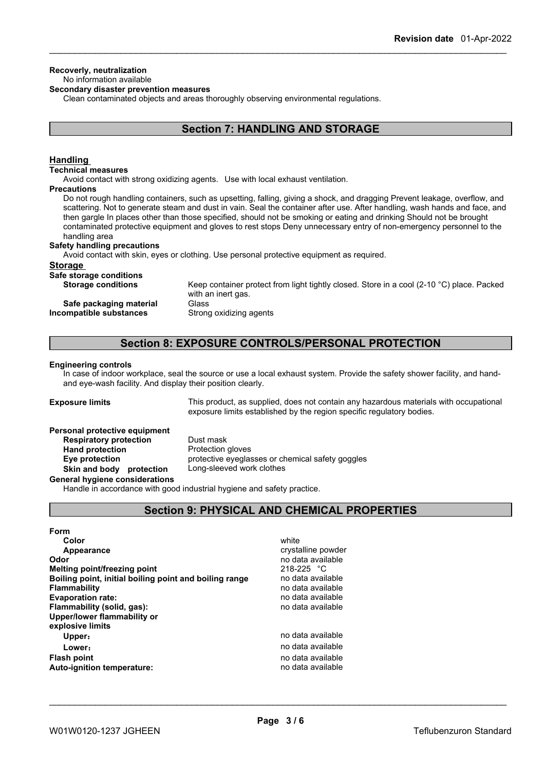#### **Recoverly, neutralization** No information available

## **Secondary disaster prevention measures**

Clean contaminated objects and areas thoroughly observing environmental regulations.

## **Section 7: HANDLING AND STORAGE**

## **Handling**

#### **Technical measures**

Avoid contact with strong oxidizing agents. Use with local exhaust ventilation.

#### **Precautions**

Do not rough handling containers, such as upsetting, falling, giving a shock, and dragging Prevent leakage, overflow, and scattering. Not to generate steam and dust in vain. Seal the container after use. After handling, wash hands and face, and then gargle In places other than those specified, should not be smoking or eating and drinking Should not be brought contaminated protective equipment and gloves to rest stops Deny unnecessary entry of non-emergency personnel to the handling area

#### **Safety handling precautions**

Avoid contact with skin, eyes or clothing. Use personal protective equipment as required.

## **Storage**

**Safe storage conditions**

|  | $\frac{1}{2}$             |  |
|--|---------------------------|--|
|  | <b>Storage conditions</b> |  |

**Safe packaging material** Glass **Incompatible substances** Strong oxidizing agents

Keep container protect from light tightly closed. Store in a cool (2-10 °C) place. Packed with an inert gas.

## **Section 8: EXPOSURE CONTROLS/PERSONAL PROTECTION**

#### **Engineering controls**

In case of indoor workplace, seal the source or use a local exhaust system. Provide the safety shower facility, and handand eye-wash facility. And display their position clearly.

**Exposure limits** This product, as supplied, does not contain any hazardous materials with occupational exposure limits established by the region specific regulatory bodies.

## **Personal protective equipment**

**Respiratory protection** Dust mask **Hand protection** Protection gloves **Skin and body protection** Long-sleeved work clothes

**Eye protection** protective eyeglasses or chemical safety goggles

#### **General hygiene considerations**

Handle in accordance with good industrial hygiene and safety practice.

## **Section 9: PHYSICAL AND CHEMICAL PROPERTIES**

| <b>Form</b>                                            |                    |  |
|--------------------------------------------------------|--------------------|--|
| Color                                                  | white              |  |
| Appearance                                             | crystalline powder |  |
| Odor                                                   | no data available  |  |
| Melting point/freezing point                           | $218 - 225$ °C     |  |
| Boiling point, initial boiling point and boiling range | no data available  |  |
| <b>Flammability</b>                                    | no data available  |  |
| <b>Evaporation rate:</b>                               | no data available  |  |
| Flammability (solid, gas):                             | no data available  |  |
| Upper/lower flammability or                            |                    |  |
| explosive limits                                       |                    |  |
| Upper:                                                 | no data available  |  |
| Lower:                                                 | no data available  |  |
| Flash point                                            | no data available  |  |
| <b>Auto-ignition temperature:</b>                      | no data available  |  |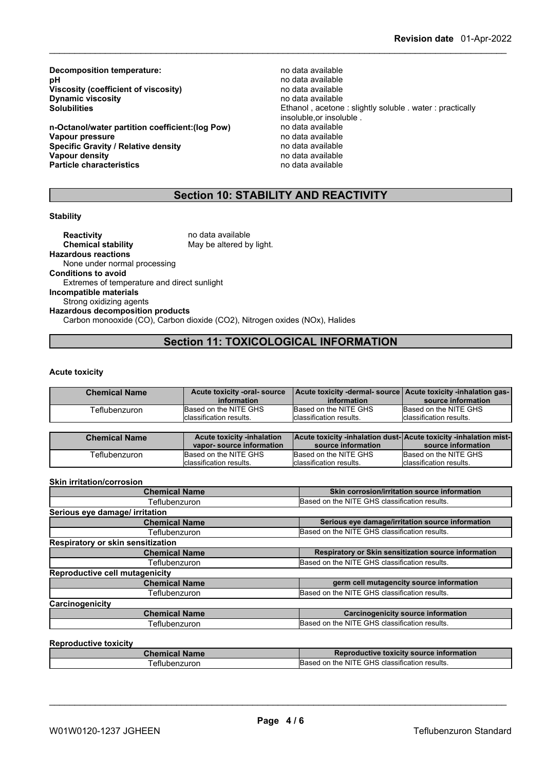**Decomposition temperature:**<br> **pH** no data available<br>
no data available **Viscosity (coefficient of viscosity)** no data available<br> **Dynamic viscosity on the available Dynamic viscosity**<br>Solubilities

**n-Octanol/water partition coefficient:(log Pow)** no data available **Vapour pressure** no data available<br> **Specific Gravity / Relative density provided** no data available **Specific Gravity / Relative density and the control of the Vapour density Vapour density v Vapour density Vapour density**<br> **Particle characteristics**<br> **Particle characteristics**<br> **Particle characteristics Particle characteristics** 

no data available<br>no data available Ethanol, acetone : slightly soluble . water : practically insoluble, or insoluble.<br>no data available

## **Section 10: STABILITY AND REACTIVITY**

## **Stability**

**Reactivity** no data available<br> **Chemical stability** May be altered by May be altered by light. **Hazardous reactions** None under normal processing **Conditions to avoid** Extremes of temperature and direct sunlight **Incompatible materials** Strong oxidizing agents **Hazardous decomposition products** Carbon monooxide (CO), Carbon dioxide (CO2), Nitrogen oxides (NOx), Halides

## **Section 11: TOXICOLOGICAL INFORMATION**

#### **Acute toxicity**

| <b>Chemical Name</b> | Acute toxicity -oral-source<br>information | Acute toxicity -dermal- source Acute toxicity -inhalation gas-<br>information     | source information               |
|----------------------|--------------------------------------------|-----------------------------------------------------------------------------------|----------------------------------|
| Teflubenzuron        | Based on the NITE GHS                      | Based on the NITE GHS                                                             | Based on the NITE GHS            |
|                      | classification results.                    | classification results.                                                           | <b>I</b> classification results. |
|                      |                                            |                                                                                   |                                  |
| Chamisal Name        | Apute texicity inhelation                  | $\Lambda$ outo tovioitu, inhalation duot $\Lambda$ outo tovioitu, inhalation miot |                                  |

| <b>Chemical Name</b> | <b>Acute toxicity -inhalation</b> |                          | <b>Acute toxicity -inhalation dust-Acute toxicity -inhalation mist-</b> |
|----------------------|-----------------------------------|--------------------------|-------------------------------------------------------------------------|
|                      | vapor-source information          | source information       | source information                                                      |
| ⊤eflubenzuron        | Based on the NITE GHS             | Based on the NITE GHS    | Based on the NITE GHS                                                   |
|                      | classification results.           | Iclassification results. | Iclassification results.                                                |

#### **Skin irritation/corrosion**

| <b>Chemical Name</b>                  | Skin corrosion/irritation source information         |
|---------------------------------------|------------------------------------------------------|
| Teflubenzuron                         | Based on the NITE GHS classification results.        |
| Serious eye damage/ irritation        |                                                      |
| <b>Chemical Name</b>                  | Serious eye damage/irritation source information     |
| Teflubenzuron                         | Based on the NITE GHS classification results.        |
| Respiratory or skin sensitization     |                                                      |
| <b>Chemical Name</b>                  | Respiratory or Skin sensitization source information |
| Teflubenzuron                         | Based on the NITE GHS classification results.        |
| <b>Reproductive cell mutagenicity</b> |                                                      |
| <b>Chemical Name</b>                  | germ cell mutagencity source information             |
| Teflubenzuron                         | Based on the NITE GHS classification results.        |
| Carcinogenicity                       |                                                      |
| <b>Chemical Name</b>                  | <b>Carcinogenicity source information</b>            |
| Teflubenzuron                         | Based on the NITE GHS classification results.        |
|                                       |                                                      |

## **Reproductive toxicity**

| Chemical Name | Reproductive toxicity source information      |
|---------------|-----------------------------------------------|
| eflubenzuron  | Based on the NITE GHS classification results. |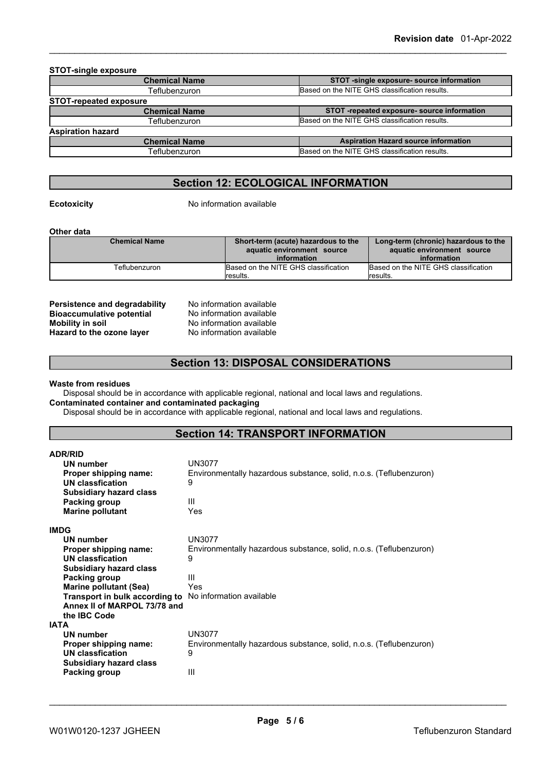| <b>STOT-single exposure</b>   |                                               |
|-------------------------------|-----------------------------------------------|
| <b>Chemical Name</b>          | STOT -single exposure- source information     |
| Teflubenzuron                 | Based on the NITE GHS classification results. |
| <b>STOT-repeated exposure</b> |                                               |
| <b>Chemical Name</b>          | STOT-repeated exposure- source information    |
| Teflubenzuron                 | Based on the NITE GHS classification results. |
| <b>Aspiration hazard</b>      |                                               |
| <b>Chemical Name</b>          | <b>Aspiration Hazard source information</b>   |
| Teflubenzuron                 | Based on the NITE GHS classification results. |
|                               |                                               |

## **Section 12: ECOLOGICAL INFORMATION**

**Ecotoxicity** No information available

**Other data**

| <b>Chemical Name</b> | Short-term (acute) hazardous to the  | Long-term (chronic) hazardous to the |
|----------------------|--------------------------------------|--------------------------------------|
|                      | aquatic environment source           | aquatic environment source           |
|                      | information                          | information                          |
| Teflubenzuron        | Based on the NITE GHS classification | Based on the NITE GHS classification |
|                      | lresults.                            | lresults.                            |

**Persistence and degradability** No information available **Bioaccumulative potential** No information available **Mobility in soil**<br> **Hazard to the ozone laver** Mo information available<br>
No information available **Hazard** to the ozone layer

## **Section 13: DISPOSAL CONSIDERATIONS**

**Waste from residues**

Disposal should be in accordance with applicable regional, national and local laws and regulations. **Contaminated container and contaminated packaging**

Disposal should be in accordance with applicable regional, national and local laws and regulations.

## **Section 14: TRANSPORT INFORMATION**

| <b>ADR/RID</b>                                                 |                                                                    |
|----------------------------------------------------------------|--------------------------------------------------------------------|
| UN number                                                      | <b>UN3077</b>                                                      |
| Proper shipping name:                                          | Environmentally hazardous substance, solid, n.o.s. (Teflubenzuron) |
| UN classfication                                               | 9                                                                  |
| <b>Subsidiary hazard class</b><br>Packing group                | Ш                                                                  |
| <b>Marine pollutant</b>                                        | Yes                                                                |
|                                                                |                                                                    |
| <b>IMDG</b>                                                    |                                                                    |
| UN number                                                      | <b>UN3077</b>                                                      |
| Proper shipping name:                                          | Environmentally hazardous substance, solid, n.o.s. (Teflubenzuron) |
| UN classfication                                               | 9                                                                  |
| <b>Subsidiary hazard class</b>                                 |                                                                    |
| <b>Packing group</b>                                           | Ш                                                                  |
| Marine pollutant (Sea)                                         | Yes                                                                |
| <b>Transport in bulk according to</b> No information available |                                                                    |
| Annex II of MARPOL 73/78 and<br>the IBC Code                   |                                                                    |
| <b>IATA</b>                                                    |                                                                    |
| UN number                                                      | <b>UN3077</b>                                                      |
| Proper shipping name:                                          | Environmentally hazardous substance, solid, n.o.s. (Teflubenzuron) |
| <b>UN classfication</b>                                        | 9                                                                  |
| <b>Subsidiary hazard class</b>                                 |                                                                    |
| Packing group                                                  | III                                                                |
|                                                                |                                                                    |